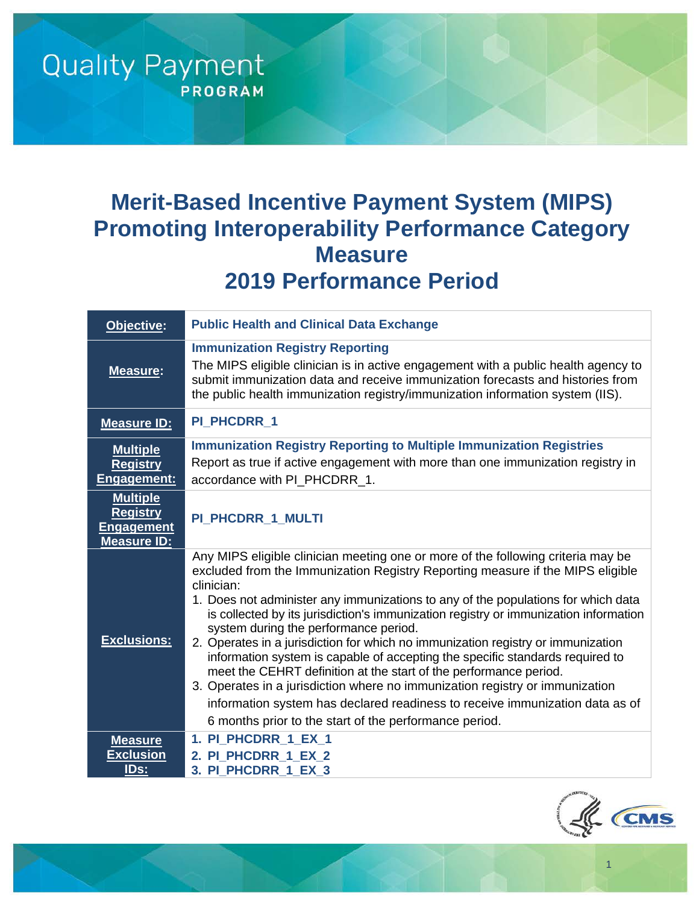# **Merit-Based Incentive Payment System (MIPS) Promoting Interoperability Performance Category Measure 2019 Performance Period**

**Quality Payment** 

**PROGRAM** 

| Objective:                                                                    | <b>Public Health and Clinical Data Exchange</b>                                                                                                                                                                                                                                                                                                                                                                                                                                                                                                                                                                                                                                                                                                                                                                                                                            |
|-------------------------------------------------------------------------------|----------------------------------------------------------------------------------------------------------------------------------------------------------------------------------------------------------------------------------------------------------------------------------------------------------------------------------------------------------------------------------------------------------------------------------------------------------------------------------------------------------------------------------------------------------------------------------------------------------------------------------------------------------------------------------------------------------------------------------------------------------------------------------------------------------------------------------------------------------------------------|
| <b>Measure:</b>                                                               | <b>Immunization Registry Reporting</b><br>The MIPS eligible clinician is in active engagement with a public health agency to<br>submit immunization data and receive immunization forecasts and histories from<br>the public health immunization registry/immunization information system (IIS).                                                                                                                                                                                                                                                                                                                                                                                                                                                                                                                                                                           |
| <b>Measure ID:</b>                                                            | PI_PHCDRR_1                                                                                                                                                                                                                                                                                                                                                                                                                                                                                                                                                                                                                                                                                                                                                                                                                                                                |
| <b>Multiple</b><br><b>Registry</b><br>Engagement:                             | <b>Immunization Registry Reporting to Multiple Immunization Registries</b><br>Report as true if active engagement with more than one immunization registry in<br>accordance with PI_PHCDRR_1.                                                                                                                                                                                                                                                                                                                                                                                                                                                                                                                                                                                                                                                                              |
| <b>Multiple</b><br><b>Registry</b><br><b>Engagement</b><br><b>Measure ID:</b> | PI_PHCDRR_1_MULTI                                                                                                                                                                                                                                                                                                                                                                                                                                                                                                                                                                                                                                                                                                                                                                                                                                                          |
| <b>Exclusions:</b>                                                            | Any MIPS eligible clinician meeting one or more of the following criteria may be<br>excluded from the Immunization Registry Reporting measure if the MIPS eligible<br>clinician:<br>1. Does not administer any immunizations to any of the populations for which data<br>is collected by its jurisdiction's immunization registry or immunization information<br>system during the performance period.<br>2. Operates in a jurisdiction for which no immunization registry or immunization<br>information system is capable of accepting the specific standards required to<br>meet the CEHRT definition at the start of the performance period.<br>3. Operates in a jurisdiction where no immunization registry or immunization<br>information system has declared readiness to receive immunization data as of<br>6 months prior to the start of the performance period. |
| <b>Measure</b>                                                                | 1. PI PHCDRR 1 EX 1                                                                                                                                                                                                                                                                                                                                                                                                                                                                                                                                                                                                                                                                                                                                                                                                                                                        |
| <b>Exclusion</b><br>IDs:                                                      | 2. PI_PHCDRR_1_EX_2<br>3. PI PHCDRR 1 EX 3                                                                                                                                                                                                                                                                                                                                                                                                                                                                                                                                                                                                                                                                                                                                                                                                                                 |



1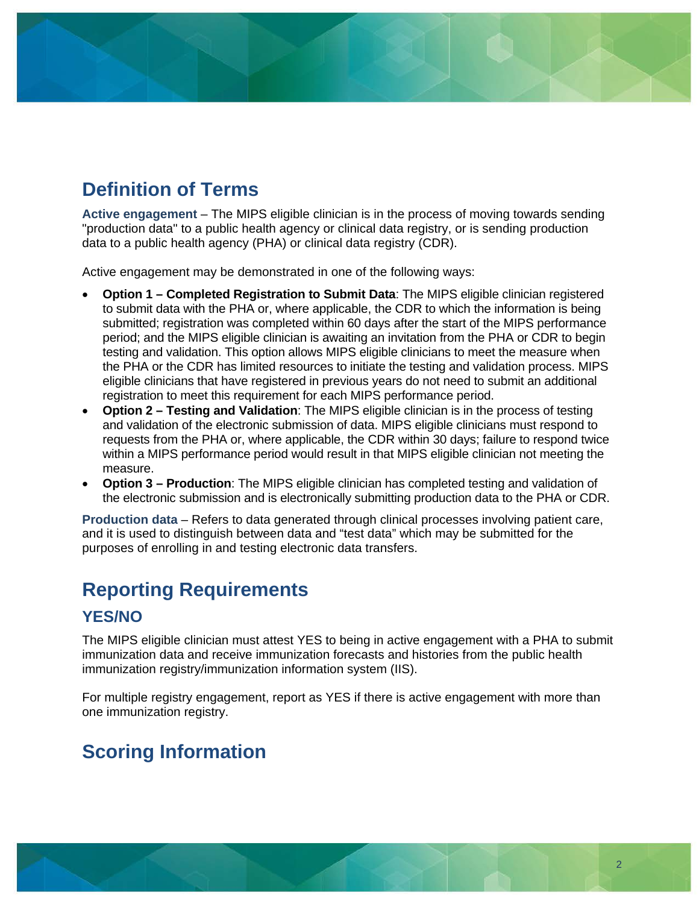# **Definition of Terms**

**Active engagement** – The MIPS eligible clinician is in the process of moving towards sending "production data" to a public health agency or clinical data registry, or is sending production data to a public health agency (PHA) or clinical data registry (CDR).

Active engagement may be demonstrated in one of the following ways:

- **Option 1 Completed Registration to Submit Data**: The MIPS eligible clinician registered to submit data with the PHA or, where applicable, the CDR to which the information is being submitted; registration was completed within 60 days after the start of the MIPS performance period; and the MIPS eligible clinician is awaiting an invitation from the PHA or CDR to begin testing and validation. This option allows MIPS eligible clinicians to meet the measure when the PHA or the CDR has limited resources to initiate the testing and validation process. MIPS eligible clinicians that have registered in previous years do not need to submit an additional registration to meet this requirement for each MIPS performance period.
- **Option 2 Testing and Validation**: The MIPS eligible clinician is in the process of testing and validation of the electronic submission of data. MIPS eligible clinicians must respond to requests from the PHA or, where applicable, the CDR within 30 days; failure to respond twice within a MIPS performance period would result in that MIPS eligible clinician not meeting the measure.
- **Option 3 Production**: The MIPS eligible clinician has completed testing and validation of the electronic submission and is electronically submitting production data to the PHA or CDR.

**Production data** – Refers to data generated through clinical processes involving patient care, and it is used to distinguish between data and "test data" which may be submitted for the purposes of enrolling in and testing electronic data transfers.

# **Reporting Requirements**

#### **YES/NO**

The MIPS eligible clinician must attest YES to being in active engagement with a PHA to submit immunization data and receive immunization forecasts and histories from the public health immunization registry/immunization information system (IIS).

For multiple registry engagement, report as YES if there is active engagement with more than one immunization registry.

# **Scoring Information**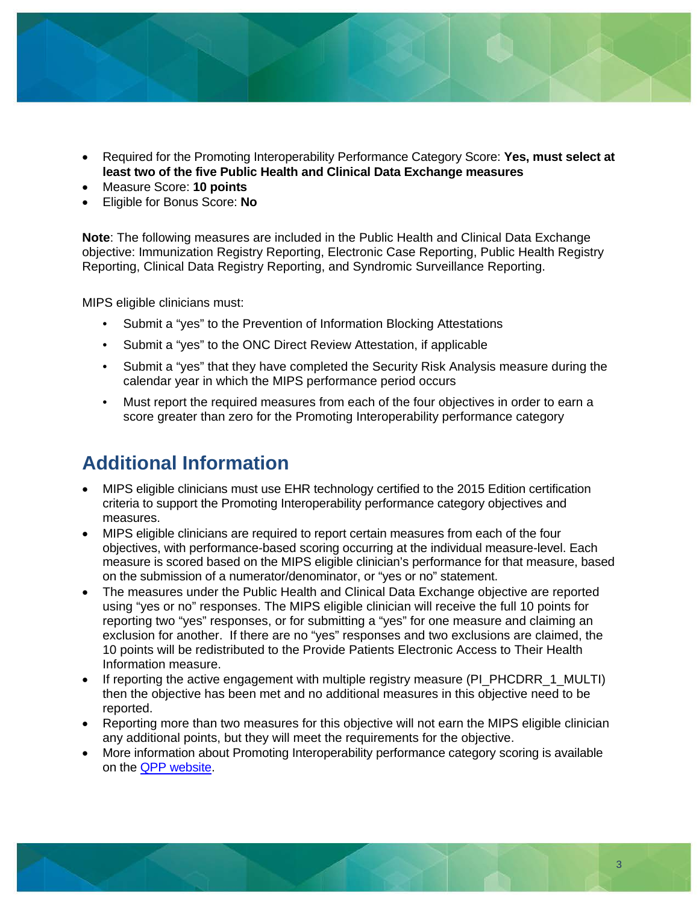

- Required for the Promoting Interoperability Performance Category Score: **Yes, must select at least two of the five Public Health and Clinical Data Exchange measures**
- Measure Score: **10 points**
- Eligible for Bonus Score: **No**

**Note**: The following measures are included in the Public Health and Clinical Data Exchange objective: Immunization Registry Reporting, Electronic Case Reporting, Public Health Registry Reporting, Clinical Data Registry Reporting, and Syndromic Surveillance Reporting.

MIPS eligible clinicians must:

- Submit a "yes" to the Prevention of Information Blocking Attestations
- Submit a "yes" to the ONC Direct Review Attestation, if applicable
- Submit a "yes" that they have completed the Security Risk Analysis measure during the calendar year in which the MIPS performance period occurs
- Must report the required measures from each of the four objectives in order to earn a score greater than zero for the Promoting Interoperability performance category

### **Additional Information**

- MIPS eligible clinicians must use EHR technology certified to the 2015 Edition certification criteria to support the Promoting Interoperability performance category objectives and measures.
- MIPS eligible clinicians are required to report certain measures from each of the four objectives, with performance-based scoring occurring at the individual measure-level. Each measure is scored based on the MIPS eligible clinician's performance for that measure, based on the submission of a numerator/denominator, or "yes or no" statement.
- The measures under the Public Health and Clinical Data Exchange objective are reported using "yes or no" responses. The MIPS eligible clinician will receive the full 10 points for reporting two "yes" responses, or for submitting a "yes" for one measure and claiming an exclusion for another. If there are no "yes" responses and two exclusions are claimed, the 10 points will be redistributed to the Provide Patients Electronic Access to Their Health Information measure.
- If reporting the active engagement with multiple registry measure (PI\_PHCDRR\_1\_MULTI) then the objective has been met and no additional measures in this objective need to be reported.
- Reporting more than two measures for this objective will not earn the MIPS eligible clinician any additional points, but they will meet the requirements for the objective.
- More information about Promoting Interoperability performance category scoring is available on the [QPP website.](https://qpp.cms.gov/)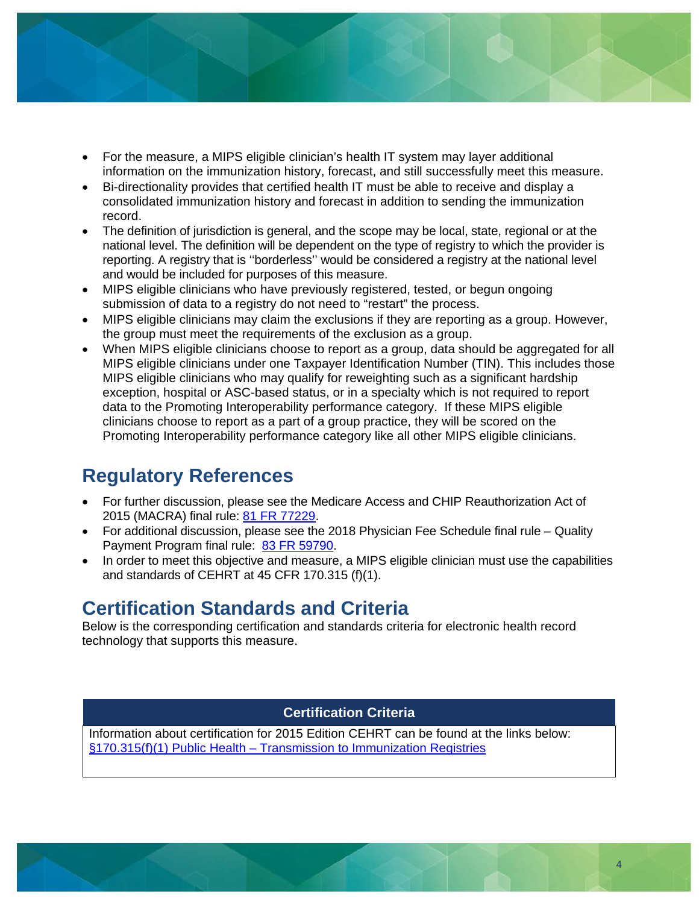

- For the measure, a MIPS eligible clinician's health IT system may layer additional information on the immunization history, forecast, and still successfully meet this measure.
- Bi-directionality provides that certified health IT must be able to receive and display a consolidated immunization history and forecast in addition to sending the immunization record.
- The definition of jurisdiction is general, and the scope may be local, state, regional or at the national level. The definition will be dependent on the type of registry to which the provider is reporting. A registry that is ''borderless'' would be considered a registry at the national level and would be included for purposes of this measure.
- MIPS eligible clinicians who have previously registered, tested, or begun ongoing submission of data to a registry do not need to "restart" the process.
- MIPS eligible clinicians may claim the exclusions if they are reporting as a group. However, the group must meet the requirements of the exclusion as a group.
- When MIPS eligible clinicians choose to report as a group, data should be aggregated for all MIPS eligible clinicians under one Taxpayer Identification Number (TIN). This includes those MIPS eligible clinicians who may qualify for reweighting such as a significant hardship exception, hospital or ASC-based status, or in a specialty which is not required to report data to the Promoting Interoperability performance category. If these MIPS eligible clinicians choose to report as a part of a group practice, they will be scored on the Promoting Interoperability performance category like all other MIPS eligible clinicians.

### **Regulatory References**

- For further discussion, please see the Medicare Access and CHIP Reauthorization Act of 2015 (MACRA) final rule: [81 FR 77229.](https://www.federalregister.gov/d/2016-25240/p-2850)
- For additional discussion, please see the 2018 Physician Fee Schedule final rule Quality Payment Program final rule: [83 FR 59790.](https://www.federalregister.gov/d/2018-24170/p-3203)
- In order to meet this objective and measure, a MIPS eligible clinician must use the capabilities and standards of CEHRT at 45 CFR 170.315 (f)(1).

#### **Certification Standards and Criteria**

Below is the corresponding certification and standards criteria for electronic health record technology that supports this measure.

#### **Certification Criteria**

Information about certification for 2015 Edition CEHRT can be found at the links below: [§170.315\(f\)\(1\) Public Health – Transmission to Immunization Registries](https://www.healthit.gov/test-method/transmission-immunization-registries)